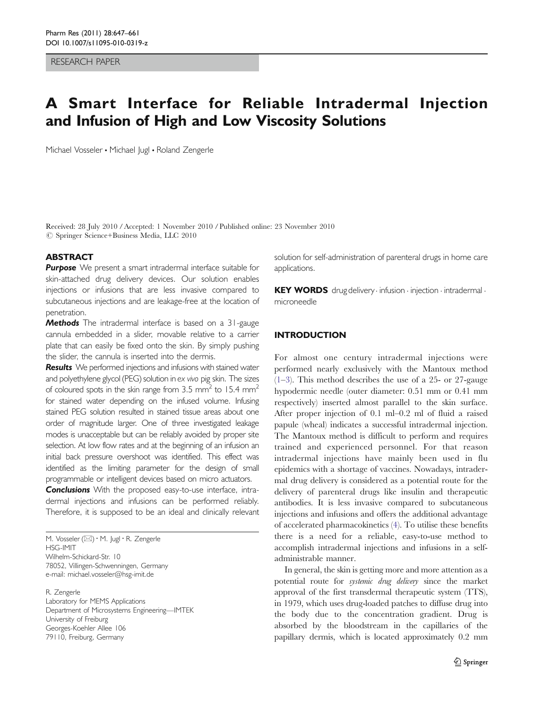# RESEARCH PAPER

# A Smart Interface for Reliable Intradermal Injection and Infusion of High and Low Viscosity Solutions

Michael Vosseler • Michael Jugl • Roland Zengerle

Received: 28 July 2010 /Accepted: 1 November 2010 / Published online: 23 November 2010  $\oslash$  Springer Science+Business Media, LLC 2010

#### ABSTRACT

Purpose We present a smart intradermal interface suitable for skin-attached drug delivery devices. Our solution enables injections or infusions that are less invasive compared to subcutaneous injections and are leakage-free at the location of penetration.

**Methods** The intradermal interface is based on a 31-gauge cannula embedded in a slider, movable relative to a carrier plate that can easily be fixed onto the skin. By simply pushing the slider, the cannula is inserted into the dermis.

**Results** We performed injections and infusions with stained water and polyethylene glycol (PEG) solution in ex vivo pig skin. The sizes of coloured spots in the skin range from  $3.5$  mm<sup>2</sup> to 15.4 mm<sup>2</sup> for stained water depending on the infused volume. Infusing stained PEG solution resulted in stained tissue areas about one order of magnitude larger. One of three investigated leakage modes is unacceptable but can be reliably avoided by proper site selection. At low flow rates and at the beginning of an infusion an initial back pressure overshoot was identified. This effect was identified as the limiting parameter for the design of small programmable or intelligent devices based on micro actuators.

**Conclusions** With the proposed easy-to-use interface, intradermal injections and infusions can be performed reliably. Therefore, it is supposed to be an ideal and clinically relevant

R. Zengerle

Laboratory for MEMS Applications Department of Microsystems Engineering—IMTEK University of Freiburg Georges-Koehler Allee 106 79110, Freiburg, Germany

solution for self-administration of parenteral drugs in home care applications.

KEY WORDS drug delivery infusion injection intradermal . microneedle

#### INTRODUCTION

For almost one century intradermal injections were performed nearly exclusively with the Mantoux method  $(1-3)$  $(1-3)$  $(1-3)$  $(1-3)$  $(1-3)$ . This method describes the use of a 25- or 27-gauge hypodermic needle (outer diameter: 0.51 mm or 0.41 mm respectively) inserted almost parallel to the skin surface. After proper injection of 0.1 ml–0.2 ml of fluid a raised papule (wheal) indicates a successful intradermal injection. The Mantoux method is difficult to perform and requires trained and experienced personnel. For that reason intradermal injections have mainly been used in flu epidemics with a shortage of vaccines. Nowadays, intradermal drug delivery is considered as a potential route for the delivery of parenteral drugs like insulin and therapeutic antibodies. It is less invasive compared to subcutaneous injections and infusions and offers the additional advantage of accelerated pharmacokinetics ([4\)](#page-14-0). To utilise these benefits there is a need for a reliable, easy-to-use method to accomplish intradermal injections and infusions in a selfadministrable manner.

In general, the skin is getting more and more attention as a potential route for systemic drug delivery since the market approval of the first transdermal therapeutic system (TTS), in 1979, which uses drug-loaded patches to diffuse drug into the body due to the concentration gradient. Drug is absorbed by the bloodstream in the capillaries of the papillary dermis, which is located approximately 0.2 mm

M. Vosseler  $(\boxtimes) \cdot$  M. Jugl $\cdot$  R. Zengerle HSG-IMIT Wilhelm-Schickard-Str. 10 78052, Villingen-Schwenningen, Germany e-mail: michael.vosseler@hsg-imit.de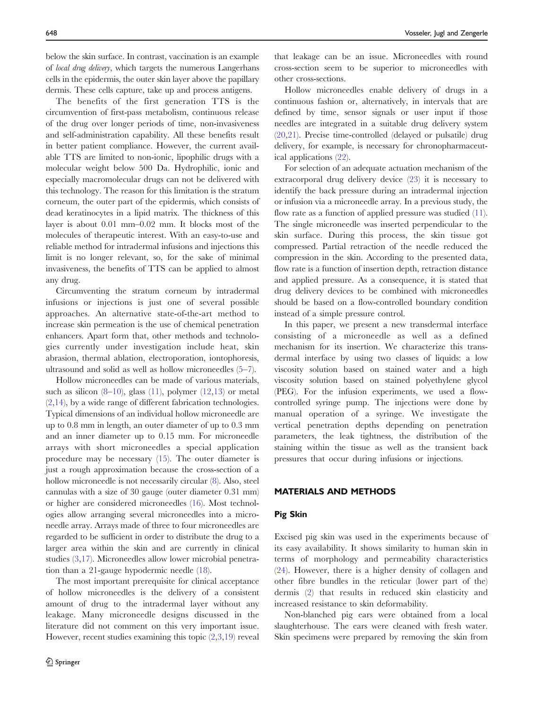<span id="page-1-0"></span>below the skin surface. In contrast, vaccination is an example of local drug delivery, which targets the numerous Langerhans cells in the epidermis, the outer skin layer above the papillary dermis. These cells capture, take up and process antigens.

The benefits of the first generation TTS is the circumvention of first-pass metabolism, continuous release of the drug over longer periods of time, non-invasiveness and self-administration capability. All these benefits result in better patient compliance. However, the current available TTS are limited to non-ionic, lipophilic drugs with a molecular weight below 500 Da. Hydrophilic, ionic and especially macromolecular drugs can not be delivered with this technology. The reason for this limitation is the stratum corneum, the outer part of the epidermis, which consists of dead keratinocytes in a lipid matrix. The thickness of this layer is about 0.01 mm–0.02 mm. It blocks most of the molecules of therapeutic interest. With an easy-to-use and reliable method for intradermal infusions and injections this limit is no longer relevant, so, for the sake of minimal invasiveness, the benefits of TTS can be applied to almost any drug.

Circumventing the stratum corneum by intradermal infusions or injections is just one of several possible approaches. An alternative state-of-the-art method to increase skin permeation is the use of chemical penetration enhancers. Apart form that, other methods and technologies currently under investigation include heat, skin abrasion, thermal ablation, electroporation, iontophoresis, ultrasound and solid as well as hollow microneedles [\(5](#page-14-0)–[7](#page-14-0)).

Hollow microneedles can be made of various materials, such as silicon  $(8-10)$  $(8-10)$  $(8-10)$  $(8-10)$ , glass  $(11)$  $(11)$ , polymer  $(12,13)$  $(12,13)$  $(12,13)$  or metal [\(2](#page-14-0),[14\)](#page-14-0), by a wide range of different fabrication technologies. Typical dimensions of an individual hollow microneedle are up to 0.8 mm in length, an outer diameter of up to 0.3 mm and an inner diameter up to 0.15 mm. For microneedle arrays with short microneedles a special application procedure may be necessary ([15\)](#page-14-0). The outer diameter is just a rough approximation because the cross-section of a hollow microneedle is not necessarily circular ([8\)](#page-14-0). Also, steel cannulas with a size of 30 gauge (outer diameter 0.31 mm) or higher are considered microneedles [\(16](#page-14-0)). Most technologies allow arranging several microneedles into a microneedle array. Arrays made of three to four microneedles are regarded to be sufficient in order to distribute the drug to a larger area within the skin and are currently in clinical studies [\(3](#page-14-0),[17\)](#page-14-0). Microneedles allow lower microbial penetration than a 21-gauge hypodermic needle ([18\)](#page-14-0).

The most important prerequisite for clinical acceptance of hollow microneedles is the delivery of a consistent amount of drug to the intradermal layer without any leakage. Many microneedle designs discussed in the literature did not comment on this very important issue. However, recent studies examining this topic [\(2](#page-14-0),[3,19](#page-14-0)) reveal

that leakage can be an issue. Microneedles with round cross-section seem to be superior to microneedles with other cross-sections.

Hollow microneedles enable delivery of drugs in a continuous fashion or, alternatively, in intervals that are defined by time, sensor signals or user input if those needles are integrated in a suitable drug delivery system ([20,21\)](#page-14-0). Precise time-controlled (delayed or pulsatile) drug delivery, for example, is necessary for chronopharmaceutical applications [\(22](#page-14-0)).

For selection of an adequate actuation mechanism of the extracorporal drug delivery device ([23\)](#page-14-0) it is necessary to identify the back pressure during an intradermal injection or infusion via a microneedle array. In a previous study, the flow rate as a function of applied pressure was studied [\(11](#page-14-0)). The single microneedle was inserted perpendicular to the skin surface. During this process, the skin tissue got compressed. Partial retraction of the needle reduced the compression in the skin. According to the presented data, flow rate is a function of insertion depth, retraction distance and applied pressure. As a consequence, it is stated that drug delivery devices to be combined with microneedles should be based on a flow-controlled boundary condition instead of a simple pressure control.

In this paper, we present a new transdermal interface consisting of a microneedle as well as a defined mechanism for its insertion. We characterize this transdermal interface by using two classes of liquids: a low viscosity solution based on stained water and a high viscosity solution based on stained polyethylene glycol (PEG). For the infusion experiments, we used a flowcontrolled syringe pump. The injections were done by manual operation of a syringe. We investigate the vertical penetration depths depending on penetration parameters, the leak tightness, the distribution of the staining within the tissue as well as the transient back pressures that occur during infusions or injections.

# MATERIALS AND METHODS

# Pig Skin

Excised pig skin was used in the experiments because of its easy availability. It shows similarity to human skin in terms of morphology and permeability characteristics ([24\)](#page-14-0). However, there is a higher density of collagen and other fibre bundles in the reticular (lower part of the) dermis ([2\)](#page-14-0) that results in reduced skin elasticity and increased resistance to skin deformability.

Non-blanched pig ears were obtained from a local slaughterhouse. The ears were cleaned with fresh water. Skin specimens were prepared by removing the skin from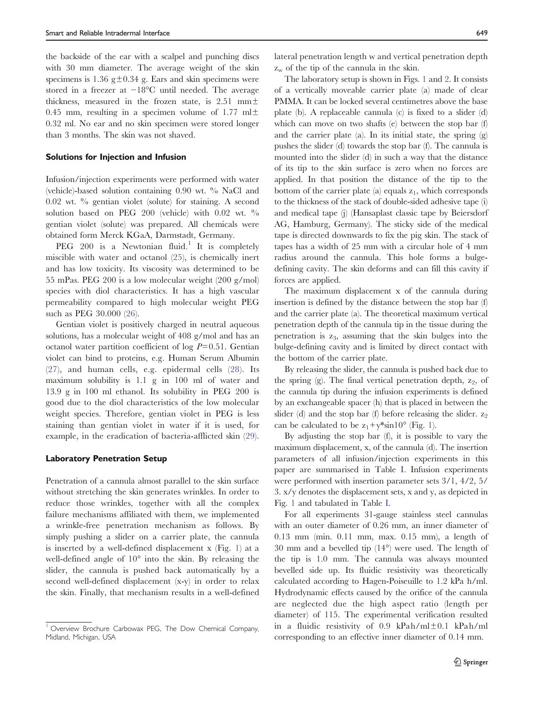the backside of the ear with a scalpel and punching discs with 30 mm diameter. The average weight of the skin specimens is 1.36  $g \pm 0.34$  g. Ears and skin specimens were stored in a freezer at −18°C until needed. The average thickness, measured in the frozen state, is 2.51 mm $\pm$ 0.45 mm, resulting in a specimen volume of 1.77 ml $\pm$ 0.32 ml. No ear and no skin specimen were stored longer than 3 months. The skin was not shaved.

#### Solutions for Injection and Infusion

Infusion/injection experiments were performed with water (vehicle)-based solution containing 0.90 wt. % NaCl and  $0.02$  wt.  $\%$  gentian violet (solute) for staining. A second solution based on PEG 200 (vehicle) with  $0.02$  wt.  $\%$ gentian violet (solute) was prepared. All chemicals were obtained form Merck KGaA, Darmstadt, Germany.

PEG 200 is a Newtonian fluid.<sup>1</sup> It is completely miscible with water and octanol [\(25](#page-14-0)), is chemically inert and has low toxicity. Its viscosity was determined to be 55 mPas. PEG 200 is a low molecular weight (200 g/mol) species with diol characteristics. It has a high vascular permeability compared to high molecular weight PEG such as PEG 30.000 ([26\)](#page-14-0).

Gentian violet is positively charged in neutral aqueous solutions, has a molecular weight of 408 g/mol and has an octanol water partition coefficient of log  $P=0.51$ . Gentian violet can bind to proteins, e.g. Human Serum Albumin ([27](#page-14-0)), and human cells, e.g. epidermal cells ([28](#page-14-0)). Its maximum solubility is 1.1 g in 100 ml of water and 13.9 g in 100 ml ethanol. Its solubility in PEG 200 is good due to the diol characteristics of the low molecular weight species. Therefore, gentian violet in PEG is less staining than gentian violet in water if it is used, for example, in the eradication of bacteria-afflicted skin ([29](#page-14-0)).

#### Laboratory Penetration Setup

Penetration of a cannula almost parallel to the skin surface without stretching the skin generates wrinkles. In order to reduce those wrinkles, together with all the complex failure mechanisms affiliated with them, we implemented a wrinkle-free penetration mechanism as follows. By simply pushing a slider on a carrier plate, the cannula is inserted by a well-defined displacement x (Fig. [1](#page-3-0)) at a well-defined angle of 10° into the skin. By releasing the slider, the cannula is pushed back automatically by a second well-defined displacement (x-y) in order to relax the skin. Finally, that mechanism results in a well-defined

lateral penetration length w and vertical penetration depth  $z_{w}$  of the tip of the cannula in the skin.

The laboratory setup is shown in Figs. [1](#page-3-0) and [2.](#page-3-0) It consists of a vertically moveable carrier plate (a) made of clear PMMA. It can be locked several centimetres above the base plate (b). A replaceable cannula (c) is fixed to a slider (d) which can move on two shafts (e) between the stop bar (f) and the carrier plate (a). In its initial state, the spring (g) pushes the slider (d) towards the stop bar (f). The cannula is mounted into the slider (d) in such a way that the distance of its tip to the skin surface is zero when no forces are applied. In that position the distance of the tip to the bottom of the carrier plate (a) equals  $z_1$ , which corresponds to the thickness of the stack of double-sided adhesive tape (i) and medical tape (j) (Hansaplast classic tape by Beiersdorf AG, Hamburg, Germany). The sticky side of the medical tape is directed downwards to fix the pig skin. The stack of tapes has a width of 25 mm with a circular hole of 4 mm radius around the cannula. This hole forms a bulgedefining cavity. The skin deforms and can fill this cavity if forces are applied.

The maximum displacement x of the cannula during insertion is defined by the distance between the stop bar (f) and the carrier plate (a). The theoretical maximum vertical penetration depth of the cannula tip in the tissue during the penetration is  $z_3$ , assuming that the skin bulges into the bulge-defining cavity and is limited by direct contact with the bottom of the carrier plate.

By releasing the slider, the cannula is pushed back due to the spring  $(g)$ . The final vertical penetration depth,  $z_2$ , of the cannula tip during the infusion experiments is defined by an exchangeable spacer (h) that is placed in between the slider (d) and the stop bar (f) before releasing the slider.  $z_2$ can be calculated to be  $z_1 + y^* \sin 10^\circ$  (Fig. [1\)](#page-3-0).

By adjusting the stop bar (f), it is possible to vary the maximum displacement, x, of the cannula (d). The insertion parameters of all infusion/injection experiments in this paper are summarised in Table [I.](#page-3-0) Infusion experiments were performed with insertion parameter sets 3/1, 4/2, 5/ 3. x/y denotes the displacement sets, x and y, as depicted in Fig. [1](#page-3-0) and tabulated in Table [I](#page-3-0).

For all experiments 31-gauge stainless steel cannulas with an outer diameter of 0.26 mm, an inner diameter of 0.13 mm (min. 0.11 mm, max. 0.15 mm), a length of 30 mm and a bevelled tip (14°) were used. The length of the tip is 1.0 mm. The cannula was always mounted bevelled side up. Its fluidic resistivity was theoretically calculated according to Hagen-Poiseuille to 1.2 kPa h/ml. Hydrodynamic effects caused by the orifice of the cannula are neglected due the high aspect ratio (length per diameter) of 115. The experimental verification resulted in a fluidic resistivity of 0.9 kPah/ml±0.1 kPah/ml corresponding to an effective inner diameter of 0.14 mm.

<sup>&</sup>lt;sup>1</sup> Overview Brochure Carbowax PEG, The Dow Chemical Company, Midland, Michigan, USA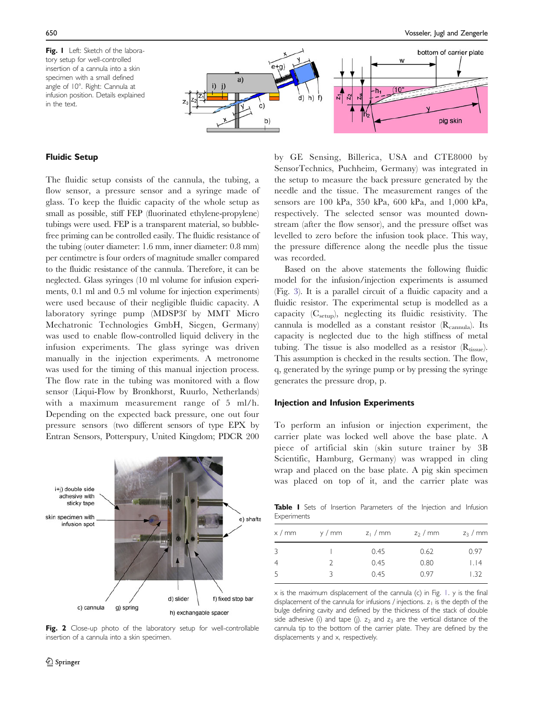<span id="page-3-0"></span>Fig. I Left: Sketch of the laboratory setup for well-controlled insertion of a cannula into a skin specimen with a small defined angle of 10°. Right: Cannula at infusion position. Details explained in the text.



# Fluidic Setup

The fluidic setup consists of the cannula, the tubing, a flow sensor, a pressure sensor and a syringe made of glass. To keep the fluidic capacity of the whole setup as small as possible, stiff FEP (fluorinated ethylene-propylene) tubings were used. FEP is a transparent material, so bubblefree priming can be controlled easily. The fluidic resistance of the tubing (outer diameter: 1.6 mm, inner diameter: 0.8 mm) per centimetre is four orders of magnitude smaller compared to the fluidic resistance of the cannula. Therefore, it can be neglected. Glass syringes (10 ml volume for infusion experiments, 0.1 ml and 0.5 ml volume for injection experiments) were used because of their negligible fluidic capacity. A laboratory syringe pump (MDSP3f by MMT Micro Mechatronic Technologies GmbH, Siegen, Germany) was used to enable flow-controlled liquid delivery in the infusion experiments. The glass syringe was driven manually in the injection experiments. A metronome was used for the timing of this manual injection process. The flow rate in the tubing was monitored with a flow sensor (Liqui-Flow by Bronkhorst, Ruurlo, Netherlands) with a maximum measurement range of 5 ml/h. Depending on the expected back pressure, one out four pressure sensors (two different sensors of type EPX by Entran Sensors, Potterspury, United Kingdom; PDCR 200



Fig. 2 Close-up photo of the laboratory setup for well-controllable insertion of a cannula into a skin specimen.

by GE Sensing, Billerica, USA and CTE8000 by SensorTechnics, Puchheim, Germany) was integrated in the setup to measure the back pressure generated by the needle and the tissue. The measurement ranges of the sensors are 100 kPa, 350 kPa, 600 kPa, and 1,000 kPa, respectively. The selected sensor was mounted downstream (after the flow sensor), and the pressure offset was levelled to zero before the infusion took place. This way, the pressure difference along the needle plus the tissue was recorded.

Based on the above statements the following fluidic model for the infusion/injection experiments is assumed (Fig. [3\)](#page-4-0). It is a parallel circuit of a fluidic capacity and a fluidic resistor. The experimental setup is modelled as a capacity  $(C_{\text{setun}})$ , neglecting its fluidic resistivity. The cannula is modelled as a constant resistor  $(R_{\text{camula}})$ . Its capacity is neglected due to the high stiffness of metal tubing. The tissue is also modelled as a resistor  $(R<sub>tissue</sub>)$ . This assumption is checked in the results section. The flow, q, generated by the syringe pump or by pressing the syringe generates the pressure drop, p.

#### Injection and Infusion Experiments

To perform an infusion or injection experiment, the carrier plate was locked well above the base plate. A piece of artificial skin (skin suture trainer by 3B Scientific, Hamburg, Germany) was wrapped in cling wrap and placed on the base plate. A pig skin specimen was placed on top of it, and the carrier plate was

Table I Sets of Insertion Parameters of the Injection and Infusion Experiments

| x / mm | y/mm | $z_1$ / mm | $z_2$ / mm | $z_3$ / mm |
|--------|------|------------|------------|------------|
| 3      |      | 0.45       | 0.62       | 0.97       |
| 4      | 2    | 0.45       | 0.80       | 1.14       |
| 5      | २    | 0.45       | 0.97       | 1.32       |
|        |      |            |            |            |

x is the maximum displacement of the cannula (c) in Fig. 1. y is the final displacement of the cannula for infusions / injections.  $z_1$  is the depth of the bulge defining cavity and defined by the thickness of the stack of double side adhesive (i) and tape (j).  $z_2$  and  $z_3$  are the vertical distance of the cannula tip to the bottom of the carrier plate. They are defined by the displacements y and x, respectively.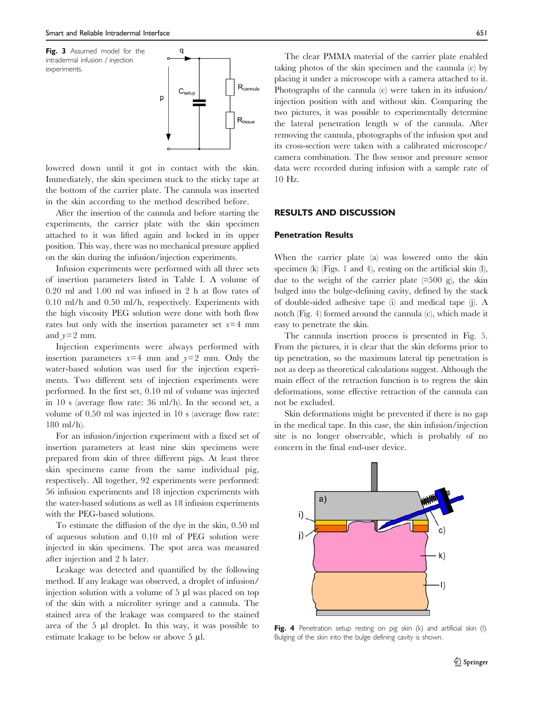<span id="page-4-0"></span>



lowered down until it got in contact with the skin. Immediately, the skin specimen stuck to the sticky tape at the bottom of the carrier plate. The cannula was inserted in the skin according to the method described before.

After the insertion of the cannula and before starting the experiments, the carrier plate with the skin specimen attached to it was lifted again and locked in its upper position. This way, there was no mechanical pressure applied on the skin during the infusion/injection experiments.

Infusion experiments were performed with all three sets of insertion parameters listed in Table [I](#page-3-0). A volume of 0.20 ml and 1.00 ml was infused in 2 h at flow rates of 0.10 ml/h and 0.50 ml/h, respectively. Experiments with the high viscosity PEG solution were done with both flow rates but only with the insertion parameter set  $x=4$  mm and  $\nu$ =2 mm.

Injection experiments were always performed with insertion parameters  $x=4$  mm and  $y=2$  mm. Only the water-based solution was used for the injection experiments. Two different sets of injection experiments were performed. In the first set, 0.10 ml of volume was injected in 10 s (average flow rate: 36 ml/h). In the second set, a volume of 0.50 ml was injected in 10 s (average flow rate: 180 ml/h).

For an infusion/injection experiment with a fixed set of insertion parameters at least nine skin specimens were prepared from skin of three different pigs. At least three skin specimens came from the same individual pig, respectively. All together, 92 experiments were performed: 56 infusion experiments and 18 injection experiments with the water-based solutions as well as 18 infusion experiments with the PEG-based solutions.

To estimate the diffusion of the dye in the skin, 0.50 ml of aqueous solution and 0.10 ml of PEG solution were injected in skin specimens. The spot area was measured after injection and 2 h later.

Leakage was detected and quantified by the following method. If any leakage was observed, a droplet of infusion/ injection solution with a volume of 5 μl was placed on top of the skin with a microliter syringe and a cannula. The stained area of the leakage was compared to the stained area of the 5 μl droplet. In this way, it was possible to estimate leakage to be below or above 5 μl.

The clear PMMA material of the carrier plate enabled taking photos of the skin specimen and the cannula (c) by placing it under a microscope with a camera attached to it. Photographs of the cannula (c) were taken in its infusion/ injection position with and without skin. Comparing the two pictures, it was possible to experimentally determine the lateral penetration length w of the cannula. After removing the cannula, photographs of the infusion spot and its cross-section were taken with a calibrated microscope/ camera combination. The flow sensor and pressure sensor data were recorded during infusion with a sample rate of 10 Hz.

### RESULTS AND DISCUSSION

#### Penetration Results

When the carrier plate (a) was lowered onto the skin specimen (k) (Figs. [1](#page-3-0) and 4), resting on the artificial skin (l), due to the weight of the carrier plate  $($ ≈500 g), the skin bulged into the bulge-defining cavity, defined by the stack of double-sided adhesive tape (i) and medical tape (j). A notch (Fig. 4) formed around the cannula (c), which made it easy to penetrate the skin.

The cannula insertion process is presented in Fig. [5.](#page-5-0) From the pictures, it is clear that the skin deforms prior to tip penetration, so the maximum lateral tip penetration is not as deep as theoretical calculations suggest. Although the main effect of the retraction function is to regress the skin deformations, some effective retraction of the cannula can not be excluded.

Skin deformations might be prevented if there is no gap in the medical tape. In this case, the skin infusion/injection site is no longer observable, which is probably of no concern in the final end-user device.



Fig. 4 Penetration setup resting on pig skin (k) and artificial skin (l). Bulging of the skin into the bulge defining cavity is shown.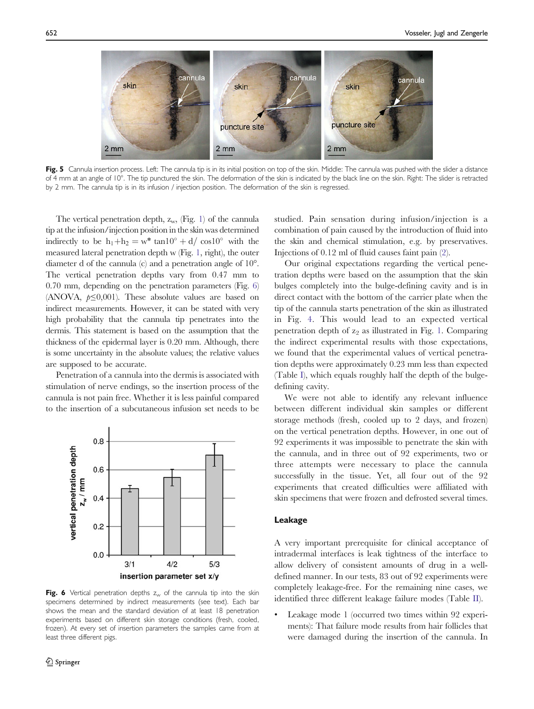<span id="page-5-0"></span>

Fig. 5 Cannula insertion process. Left: The cannula tip is in its initial position on top of the skin. Middle: The cannula was pushed with the slider a distance of 4 mm at an angle of 10°. The tip punctured the skin. The deformation of the skin is indicated by the black line on the skin. Right: The slider is retracted by 2 mm. The cannula tip is in its infusion / injection position. The deformation of the skin is regressed.

The vertical penetration depth,  $z_w$ , (Fig. [1](#page-3-0)) of the cannula tip at the infusion/injection position in the skin was determined indirectly to be  $h_1 + h_2 = w^* \tan 10^\circ + d / \cos 10^\circ$  with the measured lateral penetration depth w (Fig. [1](#page-3-0), right), the outer diameter d of the cannula (c) and a penetration angle of 10°. The vertical penetration depths vary from 0.47 mm to 0.70 mm, depending on the penetration parameters (Fig. 6) (ANOVA,  $p \leq 0,001$ ). These absolute values are based on indirect measurements. However, it can be stated with very high probability that the cannula tip penetrates into the dermis. This statement is based on the assumption that the thickness of the epidermal layer is 0.20 mm. Although, there is some uncertainty in the absolute values; the relative values are supposed to be accurate.

Penetration of a cannula into the dermis is associated with stimulation of nerve endings, so the insertion process of the cannula is not pain free. Whether it is less painful compared to the insertion of a subcutaneous infusion set needs to be



Fig. 6 Vertical penetration depths  $z_w$  of the cannula tip into the skin specimens determined by indirect measurements (see text). Each bar shows the mean and the standard deviation of at least 18 penetration experiments based on different skin storage conditions (fresh, cooled, frozen). At every set of insertion parameters the samples came from at least three different pigs.

studied. Pain sensation during infusion/injection is a combination of pain caused by the introduction of fluid into the skin and chemical stimulation, e.g. by preservatives. Injections of 0.12 ml of fluid causes faint pain ([2\)](#page-14-0).

Our original expectations regarding the vertical penetration depths were based on the assumption that the skin bulges completely into the bulge-defining cavity and is in direct contact with the bottom of the carrier plate when the tip of the cannula starts penetration of the skin as illustrated in Fig. [4](#page-4-0). This would lead to an expected vertical penetration depth of  $z_2$  as illustrated in Fig. [1](#page-3-0). Comparing the indirect experimental results with those expectations, we found that the experimental values of vertical penetration depths were approximately 0.23 mm less than expected (Table [I](#page-3-0)), which equals roughly half the depth of the bulgedefining cavity.

We were not able to identify any relevant influence between different individual skin samples or different storage methods (fresh, cooled up to 2 days, and frozen) on the vertical penetration depths. However, in one out of 92 experiments it was impossible to penetrate the skin with the cannula, and in three out of 92 experiments, two or three attempts were necessary to place the cannula successfully in the tissue. Yet, all four out of the 92 experiments that created difficulties were affiliated with skin specimens that were frozen and defrosted several times.

#### Leakage

A very important prerequisite for clinical acceptance of intradermal interfaces is leak tightness of the interface to allow delivery of consistent amounts of drug in a welldefined manner. In our tests, 83 out of 92 experiments were completely leakage-free. For the remaining nine cases, we identified three different leakage failure modes (Table [II](#page-6-0)).

Leakage mode 1 (occurred two times within 92 experiments): That failure mode results from hair follicles that were damaged during the insertion of the cannula. In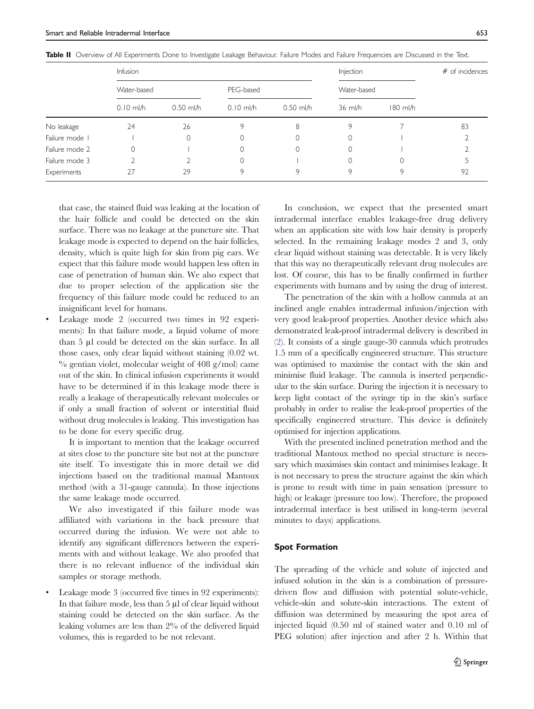|                | Infusion    |             |             | Injection   |             | $#$ of incidences |    |
|----------------|-------------|-------------|-------------|-------------|-------------|-------------------|----|
|                | Water-based |             | PEG-based   |             | Water-based |                   |    |
|                | $0.10$ ml/h | $0.50$ ml/h | $0.10$ ml/h | $0.50$ ml/h | 36 ml/h     | 180 ml/h          |    |
| No leakage     | 24          | 26          | 9           | 8           | 9           |                   | 83 |
| Failure mode   |             | 0           | 0           | 0           | 0           |                   |    |
| Failure mode 2 | 0           |             | $\Omega$    | $\Omega$    | 0           |                   |    |
| Failure mode 3 |             |             | $\Omega$    |             | 0           |                   |    |
| Experiments    | 27          | 29          | 9           | 9           | 9           | 9                 | 92 |

<span id="page-6-0"></span>Table II Overview of All Experiments Done to Investigate Leakage Behaviour. Failure Modes and Failure Frequencies are Discussed in the Text.

that case, the stained fluid was leaking at the location of the hair follicle and could be detected on the skin surface. There was no leakage at the puncture site. That leakage mode is expected to depend on the hair follicles, density, which is quite high for skin from pig ears. We expect that this failure mode would happen less often in case of penetration of human skin. We also expect that due to proper selection of the application site the frequency of this failure mode could be reduced to an insignificant level for humans.

Leakage mode 2 (occurred two times in 92 experiments): In that failure mode, a liquid volume of more than 5 μl could be detected on the skin surface. In all those cases, only clear liquid without staining (0.02 wt.  $\%$  gentian violet, molecular weight of 408 g/mol) came out of the skin. In clinical infusion experiments it would have to be determined if in this leakage mode there is really a leakage of therapeutically relevant molecules or if only a small fraction of solvent or interstitial fluid without drug molecules is leaking. This investigation has to be done for every specific drug.

It is important to mention that the leakage occurred at sites close to the puncture site but not at the puncture site itself. To investigate this in more detail we did injections based on the traditional manual Mantoux method (with a 31-gauge cannula). In those injections the same leakage mode occurred.

We also investigated if this failure mode was affiliated with variations in the back pressure that occurred during the infusion. We were not able to identify any significant differences between the experiments with and without leakage. We also proofed that there is no relevant influence of the individual skin samples or storage methods.

Leakage mode 3 (occurred five times in 92 experiments): In that failure mode, less than 5 μl of clear liquid without staining could be detected on the skin surface. As the leaking volumes are less than 2% of the delivered liquid volumes, this is regarded to be not relevant.

In conclusion, we expect that the presented smart intradermal interface enables leakage-free drug delivery when an application site with low hair density is properly selected. In the remaining leakage modes 2 and 3, only clear liquid without staining was detectable. It is very likely that this way no therapeutically relevant drug molecules are lost. Of course, this has to be finally confirmed in further experiments with humans and by using the drug of interest.

The penetration of the skin with a hollow cannula at an inclined angle enables intradermal infusion/injection with very good leak-proof properties. Another device which also demonstrated leak-proof intradermal delivery is described in [\(2](#page-14-0)). It consists of a single gauge-30 cannula which protrudes 1.5 mm of a specifically engineered structure. This structure was optimised to maximise the contact with the skin and minimise fluid leakage. The cannula is inserted perpendicular to the skin surface. During the injection it is necessary to keep light contact of the syringe tip in the skin's surface probably in order to realise the leak-proof properties of the specifically engineered structure. This device is definitely optimised for injection applications.

With the presented inclined penetration method and the traditional Mantoux method no special structure is necessary which maximises skin contact and minimises leakage. It is not necessary to press the structure against the skin which is prone to result with time in pain sensation (pressure to high) or leakage (pressure too low). Therefore, the proposed intradermal interface is best utilised in long-term (several minutes to days) applications.

# Spot Formation

The spreading of the vehicle and solute of injected and infused solution in the skin is a combination of pressuredriven flow and diffusion with potential solute-vehicle, vehicle-skin and solute-skin interactions. The extent of diffusion was determined by measuring the spot area of injected liquid (0.50 ml of stained water and 0.10 ml of PEG solution) after injection and after 2 h. Within that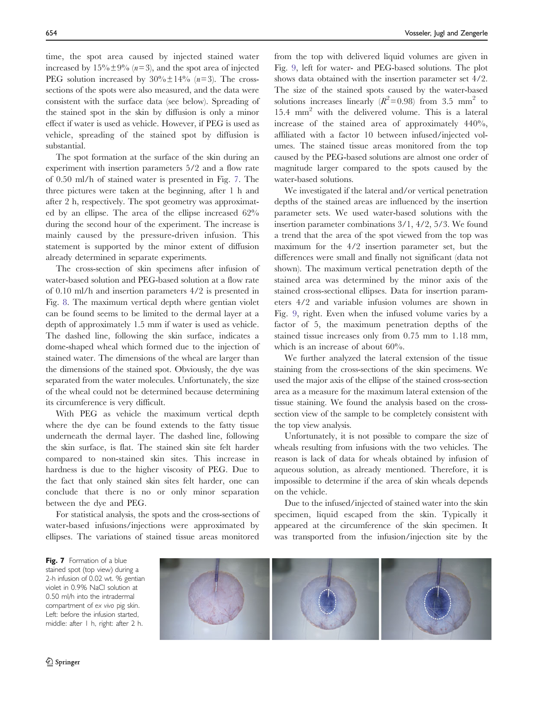time, the spot area caused by injected stained water increased by  $15\% \pm 9\%$  ( $n=3$ ), and the spot area of injected PEG solution increased by  $30\% \pm 14\%$  ( $n=3$ ). The crosssections of the spots were also measured, and the data were consistent with the surface data (see below). Spreading of the stained spot in the skin by diffusion is only a minor effect if water is used as vehicle. However, if PEG is used as vehicle, spreading of the stained spot by diffusion is substantial.

The spot formation at the surface of the skin during an experiment with insertion parameters 5/2 and a flow rate of 0.50 ml/h of stained water is presented in Fig. 7. The three pictures were taken at the beginning, after 1 h and after 2 h, respectively. The spot geometry was approximated by an ellipse. The area of the ellipse increased 62% during the second hour of the experiment. The increase is mainly caused by the pressure-driven infusion. This statement is supported by the minor extent of diffusion already determined in separate experiments.

The cross-section of skin specimens after infusion of water-based solution and PEG-based solution at a flow rate of 0.10 ml/h and insertion parameters 4/2 is presented in Fig. [8.](#page-8-0) The maximum vertical depth where gentian violet can be found seems to be limited to the dermal layer at a depth of approximately 1.5 mm if water is used as vehicle. The dashed line, following the skin surface, indicates a dome-shaped wheal which formed due to the injection of stained water. The dimensions of the wheal are larger than the dimensions of the stained spot. Obviously, the dye was separated from the water molecules. Unfortunately, the size of the wheal could not be determined because determining its circumference is very difficult.

With PEG as vehicle the maximum vertical depth where the dye can be found extends to the fatty tissue underneath the dermal layer. The dashed line, following the skin surface, is flat. The stained skin site felt harder compared to non-stained skin sites. This increase in hardness is due to the higher viscosity of PEG. Due to the fact that only stained skin sites felt harder, one can conclude that there is no or only minor separation between the dye and PEG.

For statistical analysis, the spots and the cross-sections of water-based infusions/injections were approximated by ellipses. The variations of stained tissue areas monitored

from the top with delivered liquid volumes are given in Fig. [9](#page-8-0), left for water- and PEG-based solutions. The plot shows data obtained with the insertion parameter set 4/2. The size of the stained spots caused by the water-based solutions increases linearly  $(R^2=0.98)$  from 3.5 mm<sup>2</sup> to 15.4 mm2 with the delivered volume. This is a lateral increase of the stained area of approximately 440%, affiliated with a factor 10 between infused/injected volumes. The stained tissue areas monitored from the top caused by the PEG-based solutions are almost one order of magnitude larger compared to the spots caused by the water-based solutions.

We investigated if the lateral and/or vertical penetration depths of the stained areas are influenced by the insertion parameter sets. We used water-based solutions with the insertion parameter combinations 3/1, 4/2, 5/3. We found a trend that the area of the spot viewed from the top was maximum for the 4/2 insertion parameter set, but the differences were small and finally not significant (data not shown). The maximum vertical penetration depth of the stained area was determined by the minor axis of the stained cross-sectional ellipses. Data for insertion parameters 4/2 and variable infusion volumes are shown in Fig. [9](#page-8-0), right. Even when the infused volume varies by a factor of 5, the maximum penetration depths of the stained tissue increases only from 0.75 mm to 1.18 mm, which is an increase of about 60%.

We further analyzed the lateral extension of the tissue staining from the cross-sections of the skin specimens. We used the major axis of the ellipse of the stained cross-section area as a measure for the maximum lateral extension of the tissue staining. We found the analysis based on the crosssection view of the sample to be completely consistent with the top view analysis.

Unfortunately, it is not possible to compare the size of wheals resulting from infusions with the two vehicles. The reason is lack of data for wheals obtained by infusion of aqueous solution, as already mentioned. Therefore, it is impossible to determine if the area of skin wheals depends on the vehicle.

Due to the infused/injected of stained water into the skin specimen, liquid escaped from the skin. Typically it appeared at the circumference of the skin specimen. It was transported from the infusion/injection site by the

Fig. 7 Formation of a blue stained spot (top view) during a 2-h infusion of 0.02 wt. % gentian violet in 0.9% NaCl solution at 0.50 ml/h into the intradermal compartment of ex vivo pig skin. Left: before the infusion started, middle: after 1 h, right: after 2 h.

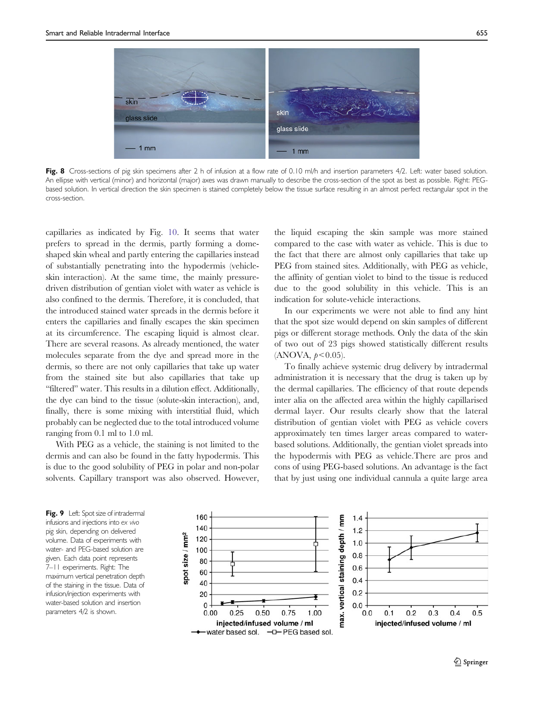<span id="page-8-0"></span>

Fig. 8 Cross-sections of pig skin specimens after 2 h of infusion at a flow rate of 0.10 ml/h and insertion parameters 4/2. Left: water based solution. An ellipse with vertical (minor) and horizontal (major) axes was drawn manually to describe the cross-section of the spot as best as possible. Right: PEGbased solution. In vertical direction the skin specimen is stained completely below the tissue surface resulting in an almost perfect rectangular spot in the cross-section.

capillaries as indicated by Fig. [10](#page-9-0). It seems that water prefers to spread in the dermis, partly forming a domeshaped skin wheal and partly entering the capillaries instead of substantially penetrating into the hypodermis (vehicleskin interaction). At the same time, the mainly pressuredriven distribution of gentian violet with water as vehicle is also confined to the dermis. Therefore, it is concluded, that the introduced stained water spreads in the dermis before it enters the capillaries and finally escapes the skin specimen at its circumference. The escaping liquid is almost clear. There are several reasons. As already mentioned, the water molecules separate from the dye and spread more in the dermis, so there are not only capillaries that take up water from the stained site but also capillaries that take up "filtered" water. This results in a dilution effect. Additionally, the dye can bind to the tissue (solute-skin interaction), and, finally, there is some mixing with interstitial fluid, which probably can be neglected due to the total introduced volume ranging from 0.1 ml to 1.0 ml.

With PEG as a vehicle, the staining is not limited to the dermis and can also be found in the fatty hypodermis. This is due to the good solubility of PEG in polar and non-polar solvents. Capillary transport was also observed. However,

the liquid escaping the skin sample was more stained compared to the case with water as vehicle. This is due to the fact that there are almost only capillaries that take up PEG from stained sites. Additionally, with PEG as vehicle, the affinity of gentian violet to bind to the tissue is reduced due to the good solubility in this vehicle. This is an indication for solute-vehicle interactions.

In our experiments we were not able to find any hint that the spot size would depend on skin samples of different pigs or different storage methods. Only the data of the skin of two out of 23 pigs showed statistically different results  $(ANOVA, \, \rho < 0.05).$ 

To finally achieve systemic drug delivery by intradermal administration it is necessary that the drug is taken up by the dermal capillaries. The efficiency of that route depends inter alia on the affected area within the highly capillarised dermal layer. Our results clearly show that the lateral distribution of gentian violet with PEG as vehicle covers approximately ten times larger areas compared to waterbased solutions. Additionally, the gentian violet spreads into the hypodermis with PEG as vehicle.There are pros and cons of using PEG-based solutions. An advantage is the fact that by just using one individual cannula a quite large area

Fig. 9 Left: Spot size of intradermal infusions and injections into ex vivo pig skin, depending on delivered volume. Data of experiments with water- and PEG-based solution are given. Each data point represents 7–11 experiments. Right: The maximum vertical penetration depth of the staining in the tissue. Data of infusion/injection experiments with water-based solution and insertion parameters 4/2 is shown.

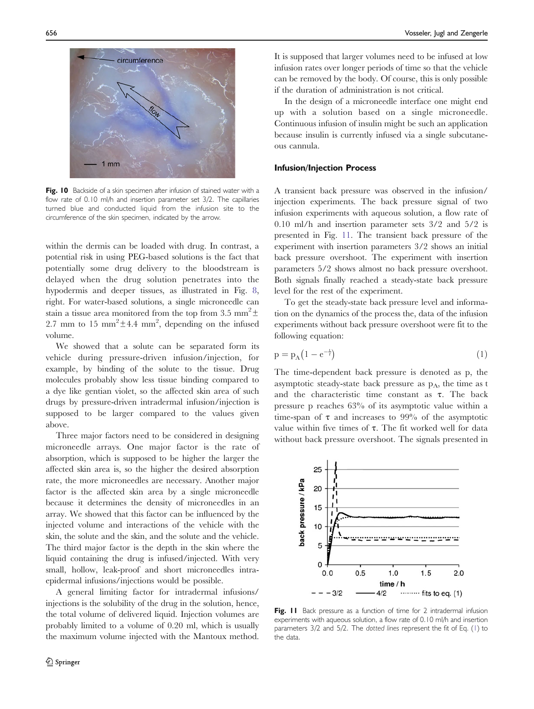<span id="page-9-0"></span>

Fig. 10 Backside of a skin specimen after infusion of stained water with a flow rate of 0.10 ml/h and insertion parameter set 3/2. The capillaries turned blue and conducted liquid from the infusion site to the circumference of the skin specimen, indicated by the arrow.

within the dermis can be loaded with drug. In contrast, a potential risk in using PEG-based solutions is the fact that potentially some drug delivery to the bloodstream is delayed when the drug solution penetrates into the hypodermis and deeper tissues, as illustrated in Fig. [8,](#page-8-0) right. For water-based solutions, a single microneedle can stain a tissue area monitored from the top from 3.5  $\text{mm}^2$   $\pm$ 2.7 mm to 15 mm<sup>2</sup> $\pm$ 4.4 mm<sup>2</sup>, depending on the infused volume.

We showed that a solute can be separated form its vehicle during pressure-driven infusion/injection, for example, by binding of the solute to the tissue. Drug molecules probably show less tissue binding compared to a dye like gentian violet, so the affected skin area of such drugs by pressure-driven intradermal infusion/injection is supposed to be larger compared to the values given above.

Three major factors need to be considered in designing microneedle arrays. One major factor is the rate of absorption, which is supposed to be higher the larger the affected skin area is, so the higher the desired absorption rate, the more microneedles are necessary. Another major factor is the affected skin area by a single microneedle because it determines the density of microneedles in an array. We showed that this factor can be influenced by the injected volume and interactions of the vehicle with the skin, the solute and the skin, and the solute and the vehicle. The third major factor is the depth in the skin where the liquid containing the drug is infused/injected. With very small, hollow, leak-proof and short microneedles intraepidermal infusions/injections would be possible.

A general limiting factor for intradermal infusions/ injections is the solubility of the drug in the solution, hence, the total volume of delivered liquid. Injection volumes are probably limited to a volume of 0.20 ml, which is usually the maximum volume injected with the Mantoux method.

It is supposed that larger volumes need to be infused at low infusion rates over longer periods of time so that the vehicle can be removed by the body. Of course, this is only possible if the duration of administration is not critical.

In the design of a microneedle interface one might end up with a solution based on a single microneedle. Continuous infusion of insulin might be such an application because insulin is currently infused via a single subcutaneous cannula.

# Infusion/Injection Process

A transient back pressure was observed in the infusion/ injection experiments. The back pressure signal of two infusion experiments with aqueous solution, a flow rate of 0.10 ml/h and insertion parameter sets 3/2 and 5/2 is presented in Fig. 11. The transient back pressure of the experiment with insertion parameters 3/2 shows an initial back pressure overshoot. The experiment with insertion parameters 5/2 shows almost no back pressure overshoot. Both signals finally reached a steady-state back pressure level for the rest of the experiment.

To get the steady-state back pressure level and information on the dynamics of the process the, data of the infusion experiments without back pressure overshoot were fit to the following equation:

$$
p = p_A (1 - e^{-\frac{t}{\tau}})
$$
 (1)

The time-dependent back pressure is denoted as p, the asymptotic steady-state back pressure as  $p_A$ , the time as t and the characteristic time constant as  $\tau$ . The back pressure p reaches 63% of its asymptotic value within a time-span of  $\tau$  and increases to 99% of the asymptotic value within five times of  $\tau$ . The fit worked well for data without back pressure overshoot. The signals presented in



Fig. 11 Back pressure as a function of time for 2 intradermal infusion experiments with aqueous solution, a flow rate of 0.10 ml/h and insertion parameters 3/2 and 5/2. The dotted lines represent the fit of Eq. (1) to the data.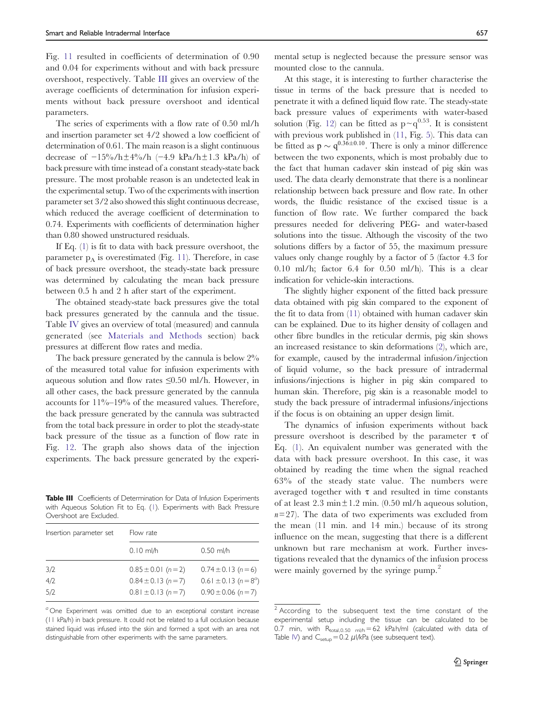Fig. [11](#page-9-0) resulted in coefficients of determination of 0.90 and 0.04 for experiments without and with back pressure overshoot, respectively. Table III gives an overview of the average coefficients of determination for infusion experiments without back pressure overshoot and identical parameters.

The series of experiments with a flow rate of 0.50 ml/h and insertion parameter set 4/2 showed a low coefficient of determination of 0.61. The main reason is a slight continuous decrease of  $-15\%/h \pm 4\%/h$  (-4.9 kPa/h $\pm 1.3$  kPa/h) of back pressure with time instead of a constant steady-state back pressure. The most probable reason is an undetected leak in the experimental setup. Two of the experiments with insertion parameter set 3/2 also showed this slight continuous decrease, which reduced the average coefficient of determination to 0.74. Experiments with coefficients of determination higher than 0.80 showed unstructured residuals.

If Eq. [\(1](#page-9-0)) is fit to data with back pressure overshoot, the parameter  $p_A$  is overestimated (Fig. [11\)](#page-9-0). Therefore, in case of back pressure overshoot, the steady-state back pressure was determined by calculating the mean back pressure between 0.5 h and 2 h after start of the experiment.

The obtained steady-state back pressures give the total back pressures generated by the cannula and the tissue. Table [IV](#page-11-0) gives an overview of total (measured) and cannula generated (see [Materials and Methods](#page-1-0) section) back pressures at different flow rates and media.

The back pressure generated by the cannula is below 2% of the measured total value for infusion experiments with aqueous solution and flow rates ≤0.50 ml/h. However, in all other cases, the back pressure generated by the cannula accounts for 11%–19% of the measured values. Therefore, the back pressure generated by the cannula was subtracted from the total back pressure in order to plot the steady-state back pressure of the tissue as a function of flow rate in Fig. [12.](#page-11-0) The graph also shows data of the injection experiments. The back pressure generated by the experi-

Table III Coefficients of Determination for Data of Infusion Experiments with Aqueous Solution Fit to Eq. [\(1](#page-9-0)). Experiments with Back Pressure Overshoot are Excluded.

| Insertion parameter set | Flow rate               |                                       |  |  |
|-------------------------|-------------------------|---------------------------------------|--|--|
|                         | $0.10$ ml/h             | $0.50$ ml/h                           |  |  |
| 3/2                     | $0.85 \pm 0.01$ (n = 2) | $0.74 \pm 0.13$ (n = 6)               |  |  |
| 4/2                     | $0.84 \pm 0.13$ (n = 7) | $0.61 \pm 0.13$ (n = 8 <sup>a</sup> ) |  |  |
| 5/2                     | $0.81 \pm 0.13$ (n = 7) | $0.90 \pm 0.06$ (n = 7)               |  |  |
|                         |                         |                                       |  |  |

<sup>a</sup> One Experiment was omitted due to an exceptional constant increase (11 kPa/h) in back pressure. It could not be related to a full occlusion because stained liquid was infused into the skin and formed a spot with an area not distinguishable from other experiments with the same parameters.

mental setup is neglected because the pressure sensor was mounted close to the cannula.

At this stage, it is interesting to further characterise the tissue in terms of the back pressure that is needed to penetrate it with a defined liquid flow rate. The steady-state back pressure values of experiments with water-based solution (Fig. [12\)](#page-11-0) can be fitted as  $p \sim q^{0.53}$ . It is consistent with previous work published in [\(11](#page-14-0), Fig. [5](#page-5-0)). This data can be fitted as  $p \sim q^{0.36\pm0.10}$ . There is only a minor difference between the two exponents, which is most probably due to the fact that human cadaver skin instead of pig skin was used. The data clearly demonstrate that there is a nonlinear relationship between back pressure and flow rate. In other words, the fluidic resistance of the excised tissue is a function of flow rate. We further compared the back pressures needed for delivering PEG- and water-based solutions into the tissue. Although the viscosity of the two solutions differs by a factor of 55, the maximum pressure values only change roughly by a factor of 5 (factor 4.3 for 0.10 ml/h; factor 6.4 for 0.50 ml/h). This is a clear indication for vehicle-skin interactions.

The slightly higher exponent of the fitted back pressure data obtained with pig skin compared to the exponent of the fit to data from [\(11](#page-14-0)) obtained with human cadaver skin can be explained. Due to its higher density of collagen and other fibre bundles in the reticular dermis, pig skin shows an increased resistance to skin deformations ([2](#page-14-0)), which are, for example, caused by the intradermal infusion/injection of liquid volume, so the back pressure of intradermal infusions/injections is higher in pig skin compared to human skin. Therefore, pig skin is a reasonable model to study the back pressure of intradermal infusions/injections if the focus is on obtaining an upper design limit.

The dynamics of infusion experiments without back pressure overshoot is described by the parameter  $\tau$  of Eq. ([1\)](#page-9-0). An equivalent number was generated with the data with back pressure overshoot. In this case, it was obtained by reading the time when the signal reached 63% of the steady state value. The numbers were averaged together with  $\tau$  and resulted in time constants of at least  $2.3 \text{ min} \pm 1.2 \text{ min}$ .  $(0.50 \text{ ml/h} \text{ aqueous solution},$  $n=27$ ). The data of two experiments was excluded from the mean (11 min. and 14 min.) because of its strong influence on the mean, suggesting that there is a different unknown but rare mechanism at work. Further investigations revealed that the dynamics of the infusion process were mainly governed by the syringe pump.<sup>2</sup>

 $2$  According to the subsequent text the time constant of the experimental setup including the tissue can be calculated to be 0.7 min, with  $R_{total,0.50 m/h} = 62$  kPah/ml (calculated with data of Table [IV](#page-11-0)) and  $C_{\text{setup}} = 0.2 \ \mu$ I/kPa (see subsequent text).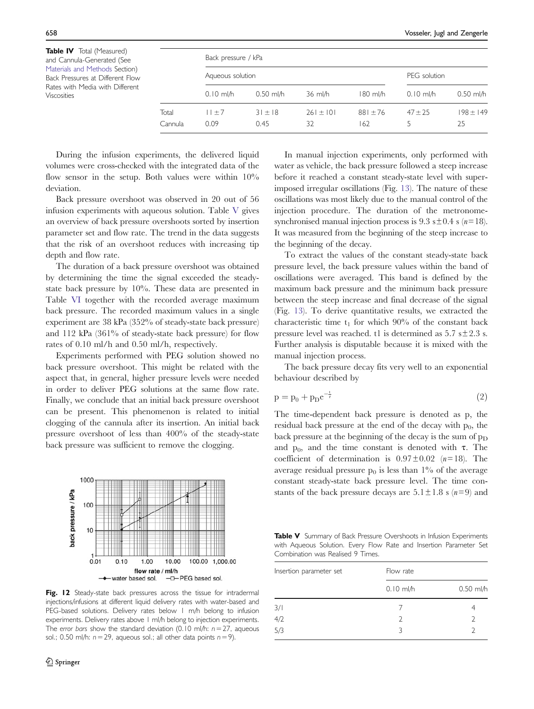<span id="page-11-0"></span>Table IV Total (Measured) and Cannula-Generated (See [Materials and Methods](#page-1-0) Section) Back Pressures at Different Flow Rates with Media with Different Viscosities

|                  | Back pressure / kPa |                     |                     |                   |                |                     |
|------------------|---------------------|---------------------|---------------------|-------------------|----------------|---------------------|
|                  | Aqueous solution    |                     |                     |                   | PEG solution   |                     |
|                  | $0.10$ ml/h         | $0.50$ ml/h         | $36$ ml/h           | $180$ ml/h        | $0.10$ ml/h    | $0.50$ ml/h         |
| Total<br>Cannula | $11 + 7$<br>0.09    | $31 \pm 18$<br>0.45 | $261 \pm 101$<br>32 | $881 + 76$<br>162 | $47 + 25$<br>ר | $198 \pm 149$<br>25 |

During the infusion experiments, the delivered liquid volumes were cross-checked with the integrated data of the flow sensor in the setup. Both values were within  $10\%$ deviation.

Back pressure overshoot was observed in 20 out of 56 infusion experiments with aqueous solution. Table V gives an overview of back pressure overshoots sorted by insertion parameter set and flow rate. The trend in the data suggests that the risk of an overshoot reduces with increasing tip depth and flow rate.

The duration of a back pressure overshoot was obtained by determining the time the signal exceeded the steadystate back pressure by 10%. These data are presented in Table [VI](#page-12-0) together with the recorded average maximum back pressure. The recorded maximum values in a single experiment are 38 kPa (352% of steady-state back pressure) and 112 kPa (361% of steady-state back pressure) for flow rates of 0.10 ml/h and 0.50 ml/h, respectively.

Experiments performed with PEG solution showed no back pressure overshoot. This might be related with the aspect that, in general, higher pressure levels were needed in order to deliver PEG solutions at the same flow rate. Finally, we conclude that an initial back pressure overshoot can be present. This phenomenon is related to initial clogging of the cannula after its insertion. An initial back pressure overshoot of less than 400% of the steady-state back pressure was sufficient to remove the clogging.



Fig. 12 Steady-state back pressures across the tissue for intradermal injections/infusions at different liquid delivery rates with water-based and PEG-based solutions. Delivery rates below 1 m/h belong to infusion experiments. Delivery rates above 1 ml/h belong to injection experiments. The error bars show the standard deviation (0.10 ml/h:  $n=27$ , aqueous sol.; 0.50 ml/h:  $n=29$ , aqueous sol.; all other data points  $n=9$ ).

In manual injection experiments, only performed with water as vehicle, the back pressure followed a steep increase before it reached a constant steady-state level with superimposed irregular oscillations (Fig. [13\)](#page-12-0). The nature of these oscillations was most likely due to the manual control of the injection procedure. The duration of the metronomesynchronised manual injection process is 9.3 s $\pm$ 0.4 s (n=18). It was measured from the beginning of the steep increase to the beginning of the decay.

To extract the values of the constant steady-state back pressure level, the back pressure values within the band of oscillations were averaged. This band is defined by the maximum back pressure and the minimum back pressure between the steep increase and final decrease of the signal (Fig. [13\)](#page-12-0). To derive quantitative results, we extracted the characteristic time  $t_1$  for which 90% of the constant back pressure level was reached. t1 is determined as  $5.7 \text{ s} \pm 2.3 \text{ s}$ . Further analysis is disputable because it is mixed with the manual injection process.

The back pressure decay fits very well to an exponential behaviour described by

$$
p = p_0 + p_D e^{-\frac{t}{r}}
$$
 (2)

The time-dependent back pressure is denoted as p, the residual back pressure at the end of the decay with  $p_0$ , the back pressure at the beginning of the decay is the sum of  $p<sub>D</sub>$ and  $p_0$ , and the time constant is denoted with  $\tau$ . The coefficient of determination is  $0.97 \pm 0.02$  ( $n=18$ ). The average residual pressure  $p_0$  is less than  $1\%$  of the average constant steady-state back pressure level. The time constants of the back pressure decays are  $5.1 \pm 1.8$  s ( $n=9$ ) and

Table V Summary of Back Pressure Overshoots in Infusion Experiments with Aqueous Solution. Every Flow Rate and Insertion Parameter Set Combination was Realised 9 Times.

| Insertion parameter set | Flow rate   |             |  |
|-------------------------|-------------|-------------|--|
|                         | $0.10$ ml/h | $0.50$ ml/h |  |
| 3/1                     |             |             |  |
|                         | C           | V           |  |
| $\frac{4}{2}$           | 3           |             |  |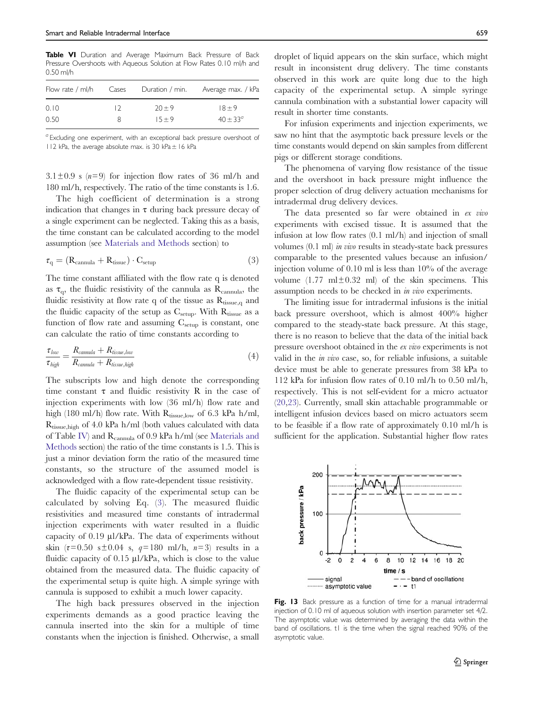<span id="page-12-0"></span>Table VI Duration and Average Maximum Back Pressure of Back Pressure Overshoots with Aqueous Solution at Flow Rates 0.10 ml/h and 0.50 ml/h

| Flow rate / ml/h | Cases | Duration / min. | Average max. / kPa  |
|------------------|-------|-----------------|---------------------|
| 0.10             | 12    | $20 \pm 9$      | $18 + 9$            |
| 0.50             | я     | $15 \pm 9$      | $40 \pm 33^{\circ}$ |

 $a$  Excluding one experiment, with an exceptional back pressure overshoot of 112 kPa, the average absolute max. is 30 kPa $\pm$ 16 kPa

 $3.1 \pm 0.9$  s ( $n=9$ ) for injection flow rates of 36 ml/h and 180 ml/h, respectively. The ratio of the time constants is 1.6.

The high coefficient of determination is a strong indication that changes in  $\tau$  during back pressure decay of a single experiment can be neglected. Taking this as a basis, the time constant can be calculated according to the model assumption (see [Materials and Methods](#page-1-0) section) to

$$
\tau_{\rm q} = (R_{\rm{cannula}} + R_{\rm{tissue}}) \cdot C_{\rm{setup}} \tag{3}
$$

The time constant affiliated with the flow rate q is denoted as  $\tau_{\rm q}$ , the fluidic resistivity of the cannula as  $\rm R_{\rm camula}$ , the fluidic resistivity at flow rate q of the tissue as  $R_{tissue,q}$  and the fluidic capacity of the setup as  $C_{\text{setup}}$ . With  $R_{\text{tissue}}$  as a function of flow rate and assuming  $C_{\text{setup}}$  is constant, one can calculate the ratio of time constants according to

$$
\frac{\tau_{low}}{\tau_{high}} = \frac{R_{camnula} + R_{tissue,low}}{R_{camnula} + R_{tissue,high}}
$$
\n(4)

The subscripts low and high denote the corresponding time constant  $\tau$  and fluidic resistivity R in the case of injection experiments with low (36 ml/h) flow rate and high (180 ml/h) flow rate. With  $R_{tissue,low}$  of 6.3 kPa h/ml, Rtissue,high of 4.0 kPa h/ml (both values calculated with data of Table [IV\)](#page-11-0) and  $R_{\text{camula}}$  of 0.9 kPa h/ml (see [Materials and](#page-1-0) [Methods](#page-1-0) section) the ratio of the time constants is 1.5. This is just a minor deviation form the ratio of the measured time constants, so the structure of the assumed model is acknowledged with a flow rate-dependent tissue resistivity.

The fluidic capacity of the experimental setup can be calculated by solving Eq. (3). The measured fluidic resistivities and measured time constants of intradermal injection experiments with water resulted in a fluidic capacity of 0.19 μl/kPa. The data of experiments without skin ( $\tau$ =0.50 s±0.04 s,  $q$ =180 ml/h,  $n=3$ ) results in a fluidic capacity of 0.15 μl/kPa, which is close to the value obtained from the measured data. The fluidic capacity of the experimental setup is quite high. A simple syringe with cannula is supposed to exhibit a much lower capacity.

The high back pressures observed in the injection experiments demands as a good practice leaving the cannula inserted into the skin for a multiple of time constants when the injection is finished. Otherwise, a small droplet of liquid appears on the skin surface, which might result in inconsistent drug delivery. The time constants observed in this work are quite long due to the high capacity of the experimental setup. A simple syringe cannula combination with a substantial lower capacity will result in shorter time constants.

For infusion experiments and injection experiments, we saw no hint that the asymptotic back pressure levels or the time constants would depend on skin samples from different pigs or different storage conditions.

The phenomena of varying flow resistance of the tissue and the overshoot in back pressure might influence the proper selection of drug delivery actuation mechanisms for intradermal drug delivery devices.

The data presented so far were obtained in ex vivo experiments with excised tissue. It is assumed that the infusion at low flow rates (0.1 ml/h) and injection of small volumes (0.1 ml) in vivo results in steady-state back pressures comparable to the presented values because an infusion/ injection volume of 0.10 ml is less than 10% of the average volume  $(1.77 \text{ ml} \pm 0.32 \text{ ml})$  of the skin specimens. This assumption needs to be checked in in vivo experiments.

The limiting issue for intradermal infusions is the initial back pressure overshoot, which is almost 400% higher compared to the steady-state back pressure. At this stage, there is no reason to believe that the data of the initial back pressure overshoot obtained in the ex vivo experiments is not valid in the in vivo case, so, for reliable infusions, a suitable device must be able to generate pressures from 38 kPa to 112 kPa for infusion flow rates of 0.10 ml/h to 0.50 ml/h, respectively. This is not self-evident for a micro actuator ([20,23\)](#page-14-0). Currently, small skin attachable programmable or intelligent infusion devices based on micro actuators seem to be feasible if a flow rate of approximately 0.10 ml/h is sufficient for the application. Substantial higher flow rates



Fig. 13 Back pressure as a function of time for a manual intradermal injection of 0.10 ml of aqueous solution with insertion parameter set 4/2. The asymptotic value was determined by averaging the data within the band of oscillations. t1 is the time when the signal reached 90% of the asymptotic value.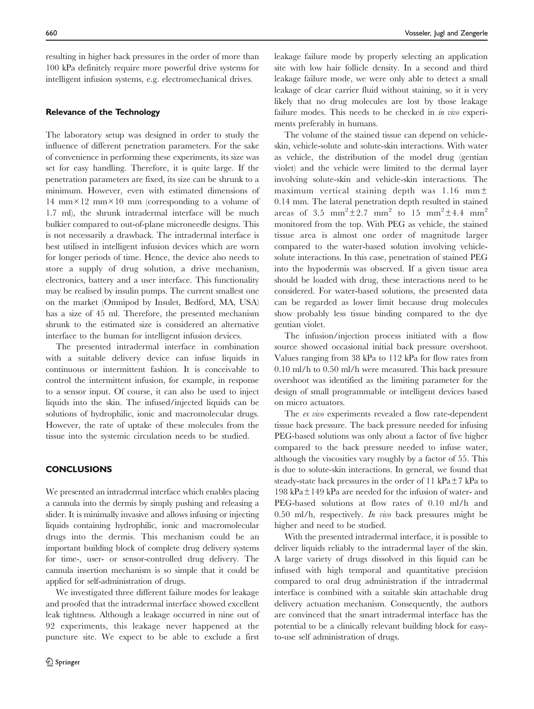resulting in higher back pressures in the order of more than 100 kPa definitely require more powerful drive systems for intelligent infusion systems, e.g. electromechanical drives.

#### Relevance of the Technology

The laboratory setup was designed in order to study the influence of different penetration parameters. For the sake of convenience in performing these experiments, its size was set for easy handling. Therefore, it is quite large. If the penetration parameters are fixed, its size can be shrunk to a minimum. However, even with estimated dimensions of 14 mm $\times$ 12 mm $\times$ 10 mm (corresponding to a volume of 1.7 ml), the shrunk intradermal interface will be much bulkier compared to out-of-plane microneedle designs. This is not necessarily a drawback. The intradermal interface is best utilised in intelligent infusion devices which are worn for longer periods of time. Hence, the device also needs to store a supply of drug solution, a drive mechanism, electronics, battery and a user interface. This functionality may be realised by insulin pumps. The current smallest one on the market (Omnipod by Insulet, Bedford, MA, USA) has a size of 45 ml. Therefore, the presented mechanism shrunk to the estimated size is considered an alternative interface to the human for intelligent infusion devices.

The presented intradermal interface in combination with a suitable delivery device can infuse liquids in continuous or intermittent fashion. It is conceivable to control the intermittent infusion, for example, in response to a sensor input. Of course, it can also be used to inject liquids into the skin. The infused/injected liquids can be solutions of hydrophilic, ionic and macromolecular drugs. However, the rate of uptake of these molecules from the tissue into the systemic circulation needs to be studied.

#### **CONCLUSIONS**

We presented an intradermal interface which enables placing a cannula into the dermis by simply pushing and releasing a slider. It is minimally invasive and allows infusing or injecting liquids containing hydrophilic, ionic and macromolecular drugs into the dermis. This mechanism could be an important building block of complete drug delivery systems for time-, user- or sensor-controlled drug delivery. The cannula insertion mechanism is so simple that it could be applied for self-administration of drugs.

We investigated three different failure modes for leakage and proofed that the intradermal interface showed excellent leak tightness. Although a leakage occurred in nine out of 92 experiments, this leakage never happened at the puncture site. We expect to be able to exclude a first

leakage failure mode by properly selecting an application site with low hair follicle density. In a second and third leakage failure mode, we were only able to detect a small leakage of clear carrier fluid without staining, so it is very likely that no drug molecules are lost by those leakage failure modes. This needs to be checked in in vivo experiments preferably in humans.

The volume of the stained tissue can depend on vehicleskin, vehicle-solute and solute-skin interactions. With water as vehicle, the distribution of the model drug (gentian violet) and the vehicle were limited to the dermal layer involving solute-skin and vehicle-skin interactions. The maximum vertical staining depth was 1.16 mm $\pm$ 0.14 mm. The lateral penetration depth resulted in stained areas of 3.5 mm<sup>2</sup> ± 2.7 mm<sup>2</sup> to 15 mm<sup>2</sup> ± 4.4 mm<sup>2</sup> monitored from the top. With PEG as vehicle, the stained tissue area is almost one order of magnitude larger compared to the water-based solution involving vehiclesolute interactions. In this case, penetration of stained PEG into the hypodermis was observed. If a given tissue area should be loaded with drug, these interactions need to be considered. For water-based solutions, the presented data can be regarded as lower limit because drug molecules show probably less tissue binding compared to the dye gentian violet.

The infusion/injection process initiated with a flow source showed occasional initial back pressure overshoot. Values ranging from 38 kPa to 112 kPa for flow rates from 0.10 ml/h to 0.50 ml/h were measured. This back pressure overshoot was identified as the limiting parameter for the design of small programmable or intelligent devices based on micro actuators.

The ex vivo experiments revealed a flow rate-dependent tissue back pressure. The back pressure needed for infusing PEG-based solutions was only about a factor of five higher compared to the back pressure needed to infuse water, although the viscosities vary roughly by a factor of 55. This is due to solute-skin interactions. In general, we found that steady-state back pressures in the order of 11 kPa $\pm$ 7 kPa to 198 kPa±149 kPa are needed for the infusion of water- and PEG-based solutions at flow rates of 0.10 ml/h and 0.50 ml/h, respectively. In vivo back pressures might be higher and need to be studied.

With the presented intradermal interface, it is possible to deliver liquids reliably to the intradermal layer of the skin. A large variety of drugs dissolved in this liquid can be infused with high temporal and quantitative precision compared to oral drug administration if the intradermal interface is combined with a suitable skin attachable drug delivery actuation mechanism. Consequently, the authors are convinced that the smart intradermal interface has the potential to be a clinically relevant building block for easyto-use self administration of drugs.